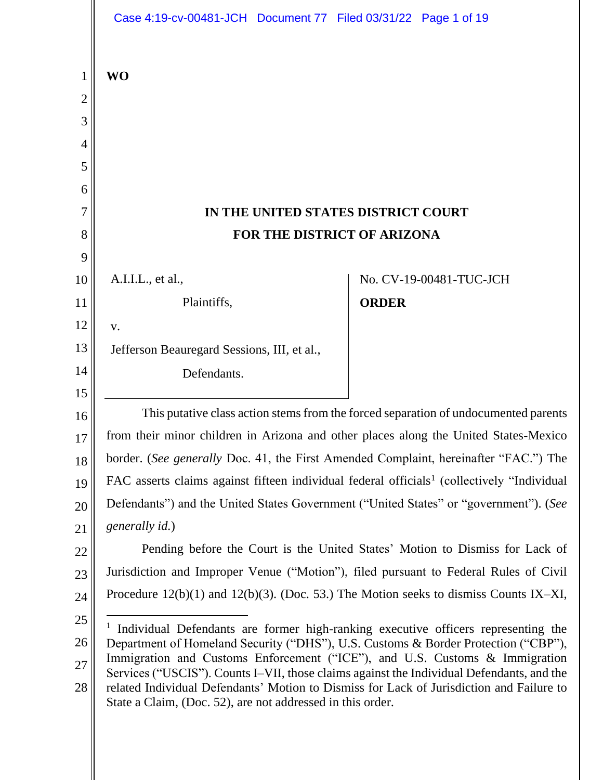|                | Case 4:19-cv-00481-JCH Document 77 Filed 03/31/22 Page 1 of 19                                                                                                                                                                                      |              |                         |
|----------------|-----------------------------------------------------------------------------------------------------------------------------------------------------------------------------------------------------------------------------------------------------|--------------|-------------------------|
| $\mathbf{1}$   | <b>WO</b>                                                                                                                                                                                                                                           |              |                         |
| $\overline{2}$ |                                                                                                                                                                                                                                                     |              |                         |
| 3              |                                                                                                                                                                                                                                                     |              |                         |
| 4              |                                                                                                                                                                                                                                                     |              |                         |
| 5              |                                                                                                                                                                                                                                                     |              |                         |
| 6              |                                                                                                                                                                                                                                                     |              |                         |
| 7              | IN THE UNITED STATES DISTRICT COURT                                                                                                                                                                                                                 |              |                         |
| 8              | FOR THE DISTRICT OF ARIZONA                                                                                                                                                                                                                         |              |                         |
| 9              |                                                                                                                                                                                                                                                     |              |                         |
| 10             | A.I.I.L., et al.,                                                                                                                                                                                                                                   |              | No. CV-19-00481-TUC-JCH |
| 11             | Plaintiffs,                                                                                                                                                                                                                                         | <b>ORDER</b> |                         |
| 12             | V.                                                                                                                                                                                                                                                  |              |                         |
| 13             | Jefferson Beauregard Sessions, III, et al.,                                                                                                                                                                                                         |              |                         |
| 14             | Defendants.                                                                                                                                                                                                                                         |              |                         |
| 15             |                                                                                                                                                                                                                                                     |              |                         |
| 16             | This putative class action stems from the forced separation of undocumented parents                                                                                                                                                                 |              |                         |
| 17             | from their minor children in Arizona and other places along the United States-Mexico                                                                                                                                                                |              |                         |
| 18             | border. (See generally Doc. 41, the First Amended Complaint, hereinafter "FAC.") The                                                                                                                                                                |              |                         |
| 19             | FAC asserts claims against fifteen individual federal officials <sup>1</sup> (collectively "Individual                                                                                                                                              |              |                         |
| 20             | Defendants") and the United States Government ("United States" or "government"). (See                                                                                                                                                               |              |                         |
| 21             | generally id.)                                                                                                                                                                                                                                      |              |                         |
| 22             | Pending before the Court is the United States' Motion to Dismiss for Lack of                                                                                                                                                                        |              |                         |
| 23             | Jurisdiction and Improper Venue ("Motion"), filed pursuant to Federal Rules of Civil                                                                                                                                                                |              |                         |
| 24             | Procedure $12(b)(1)$ and $12(b)(3)$ . (Doc. 53.) The Motion seeks to dismiss Counts IX-XI,                                                                                                                                                          |              |                         |
| 25             | <sup>1</sup> Individual Defendants are former high-ranking executive officers representing the                                                                                                                                                      |              |                         |
| 26             | Department of Homeland Security ("DHS"), U.S. Customs & Border Protection ("CBP"),<br>Immigration and Customs Enforcement ("ICE"), and U.S. Customs & Immigration                                                                                   |              |                         |
| $27\,$<br>28   | Services ("USCIS"). Counts I–VII, those claims against the Individual Defendants, and the<br>related Individual Defendants' Motion to Dismiss for Lack of Jurisdiction and Failure to<br>State a Claim, (Doc. 52), are not addressed in this order. |              |                         |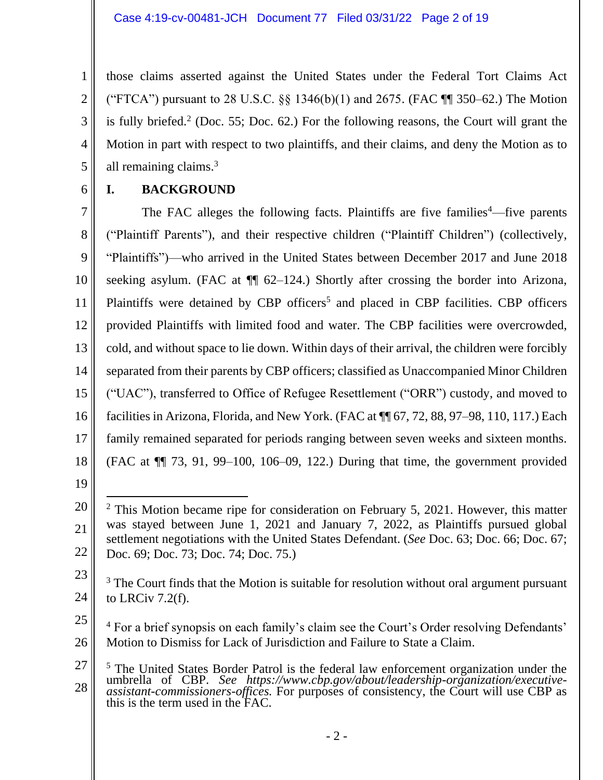those claims asserted against the United States under the Federal Tort Claims Act ("FTCA") pursuant to 28 U.S.C.  $\S$ § 1346(b)(1) and 2675. (FAC ¶ 350–62.) The Motion is fully briefed.<sup>2</sup> (Doc. 55; Doc. 62.) For the following reasons, the Court will grant the Motion in part with respect to two plaintiffs, and their claims, and deny the Motion as to all remaining claims. 3

6

5

1

2

3

4

# **I. BACKGROUND**

7 8 9 10 11 12 13 14 15 16 17 18 The FAC alleges the following facts. Plaintiffs are five families<sup>4</sup>—five parents ("Plaintiff Parents"), and their respective children ("Plaintiff Children") (collectively, "Plaintiffs")—who arrived in the United States between December 2017 and June 2018 seeking asylum. (FAC at ¶¶ 62–124.) Shortly after crossing the border into Arizona, Plaintiffs were detained by CBP officers<sup>5</sup> and placed in CBP facilities. CBP officers provided Plaintiffs with limited food and water. The CBP facilities were overcrowded, cold, and without space to lie down. Within days of their arrival, the children were forcibly separated from their parents by CBP officers; classified as Unaccompanied Minor Children ("UAC"), transferred to Office of Refugee Resettlement ("ORR") custody, and moved to facilities in Arizona, Florida, and New York. (FAC at ¶¶ 67, 72, 88, 97–98, 110, 117.) Each family remained separated for periods ranging between seven weeks and sixteen months. (FAC at ¶¶ 73, 91, 99–100, 106–09, 122.) During that time, the government provided

<sup>20</sup> 21 22  $2$  This Motion became ripe for consideration on February 5, 2021. However, this matter was stayed between June 1, 2021 and January 7, 2022, as Plaintiffs pursued global settlement negotiations with the United States Defendant. (*See* Doc. 63; Doc. 66; Doc. 67; Doc. 69; Doc. 73; Doc. 74; Doc. 75.)

<sup>23</sup> 24 <sup>3</sup> The Court finds that the Motion is suitable for resolution without oral argument pursuant to LRCiv 7.2(f).

<sup>25</sup> 26 <sup>4</sup> For a brief synopsis on each family's claim see the Court's Order resolving Defendants' Motion to Dismiss for Lack of Jurisdiction and Failure to State a Claim.

<sup>27</sup> 28  $\overline{a}$ <sup>5</sup> The United States Border Patrol is the federal law enforcement organization under the umbrella of CBP. *See https://www.cbp.gov/about/leadership-organization/executiveassistant-commissioners-offices.* For purposes of consistency, the Court will use CBP as this is the term used in the FAC.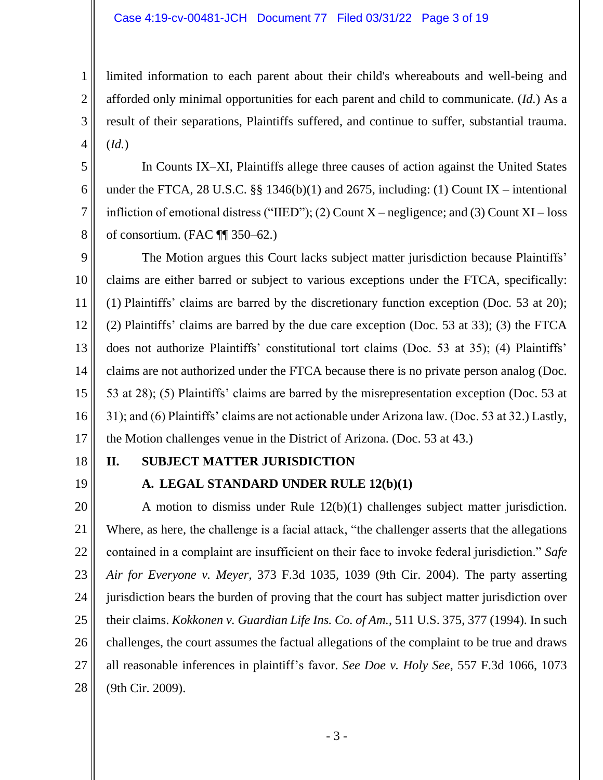#### Case 4:19-cv-00481-JCH Document 77 Filed 03/31/22 Page 3 of 19

limited information to each parent about their child's whereabouts and well-being and afforded only minimal opportunities for each parent and child to communicate. (*Id.*) As a result of their separations, Plaintiffs suffered, and continue to suffer, substantial trauma. (*Id.*)

In Counts IX–XI, Plaintiffs allege three causes of action against the United States under the FTCA, 28 U.S.C. §§ 1346(b)(1) and 2675, including: (1) Count IX – intentional infliction of emotional distress ("IIED"); (2) Count  $X$  – negligence; and (3) Count  $XI$  – loss of consortium. (FAC ¶¶ 350–62.)

9 10 11 12 13 14 15 16 17 The Motion argues this Court lacks subject matter jurisdiction because Plaintiffs' claims are either barred or subject to various exceptions under the FTCA, specifically: (1) Plaintiffs' claims are barred by the discretionary function exception (Doc. 53 at 20); (2) Plaintiffs' claims are barred by the due care exception (Doc. 53 at 33); (3) the FTCA does not authorize Plaintiffs' constitutional tort claims (Doc. 53 at 35); (4) Plaintiffs' claims are not authorized under the FTCA because there is no private person analog (Doc. 53 at 28); (5) Plaintiffs' claims are barred by the misrepresentation exception (Doc. 53 at 31); and (6) Plaintiffs' claims are not actionable under Arizona law. (Doc. 53 at 32.) Lastly, the Motion challenges venue in the District of Arizona. (Doc. 53 at 43.)

18

1

2

3

4

5

6

7

8

19

# **II. SUBJECT MATTER JURISDICTION**

# **A. LEGAL STANDARD UNDER RULE 12(b)(1)**

20 21 22 23 24 25 26 27 28 A motion to dismiss under Rule 12(b)(1) challenges subject matter jurisdiction. Where, as here, the challenge is a facial attack, "the challenger asserts that the allegations contained in a complaint are insufficient on their face to invoke federal jurisdiction." *Safe Air for Everyone v. Meyer*, 373 F.3d 1035, 1039 (9th Cir. 2004). The party asserting jurisdiction bears the burden of proving that the court has subject matter jurisdiction over their claims. *Kokkonen v. Guardian Life Ins. Co. of Am.*, 511 U.S. 375, 377 (1994). In such challenges, the court assumes the factual allegations of the complaint to be true and draws all reasonable inferences in plaintiff's favor. *See Doe v. Holy See*, 557 F.3d 1066, 1073 (9th Cir. 2009).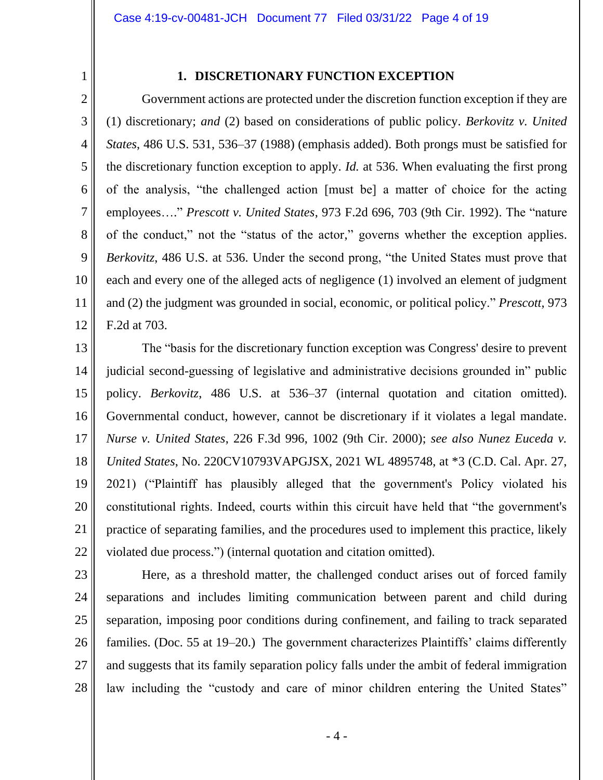2

1

### **1. DISCRETIONARY FUNCTION EXCEPTION**

3 4 5 6 7 8 9 10 11 12 Government actions are protected under the discretion function exception if they are (1) discretionary; *and* (2) based on considerations of public policy. *Berkovitz v. United States*, 486 U.S. 531, 536–37 (1988) (emphasis added). Both prongs must be satisfied for the discretionary function exception to apply. *Id.* at 536. When evaluating the first prong of the analysis, "the challenged action [must be] a matter of choice for the acting employees…." *Prescott v. United States*, 973 F.2d 696, 703 (9th Cir. 1992). The "nature of the conduct," not the "status of the actor," governs whether the exception applies. *Berkovitz*, 486 U.S. at 536. Under the second prong, "the United States must prove that each and every one of the alleged acts of negligence (1) involved an element of judgment and (2) the judgment was grounded in social, economic, or political policy." *Prescott*, 973 F.2d at 703.

13 14 15 16 17 18 19 20 21 22 The "basis for the discretionary function exception was Congress' desire to prevent judicial second-guessing of legislative and administrative decisions grounded in" public policy. *Berkovitz*, 486 U.S. at 536–37 (internal quotation and citation omitted). Governmental conduct, however, cannot be discretionary if it violates a legal mandate. *Nurse v. United States*, 226 F.3d 996, 1002 (9th Cir. 2000); *see also Nunez Euceda v. United States*, No. 220CV10793VAPGJSX, 2021 WL 4895748, at \*3 (C.D. Cal. Apr. 27, 2021) ("Plaintiff has plausibly alleged that the government's Policy violated his constitutional rights. Indeed, courts within this circuit have held that "the government's practice of separating families, and the procedures used to implement this practice, likely violated due process.") (internal quotation and citation omitted).

23 24 25 26 27 28 Here, as a threshold matter, the challenged conduct arises out of forced family separations and includes limiting communication between parent and child during separation, imposing poor conditions during confinement, and failing to track separated families. (Doc. 55 at 19–20.) The government characterizes Plaintiffs' claims differently and suggests that its family separation policy falls under the ambit of federal immigration law including the "custody and care of minor children entering the United States"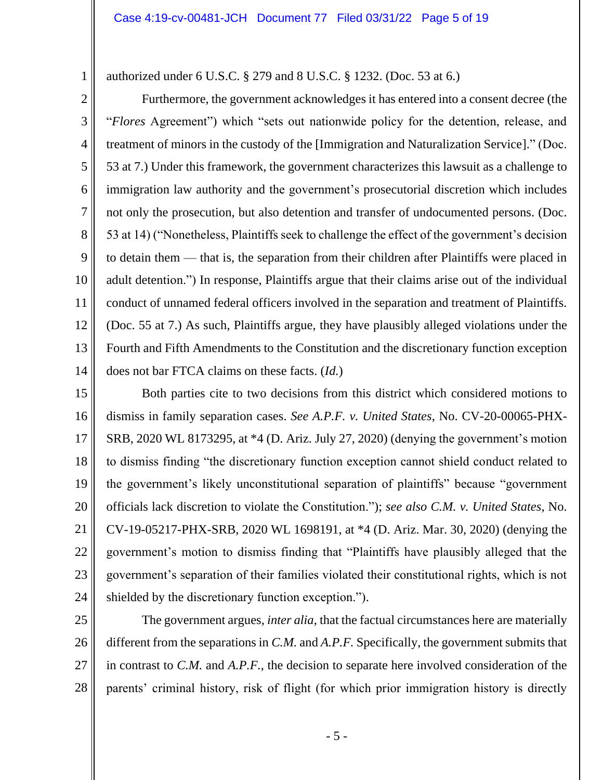authorized under 6 U.S.C. § 279 and 8 U.S.C. § 1232. (Doc. 53 at 6.)

2

1

3 4 5 6 7 8 9 10 11 12 13 14 Furthermore, the government acknowledges it has entered into a consent decree (the "*Flores* Agreement") which "sets out nationwide policy for the detention, release, and treatment of minors in the custody of the [Immigration and Naturalization Service]." (Doc. 53 at 7.) Under this framework, the government characterizes this lawsuit as a challenge to immigration law authority and the government's prosecutorial discretion which includes not only the prosecution, but also detention and transfer of undocumented persons. (Doc. 53 at 14) ("Nonetheless, Plaintiffs seek to challenge the effect of the government's decision to detain them — that is, the separation from their children after Plaintiffs were placed in adult detention.") In response, Plaintiffs argue that their claims arise out of the individual conduct of unnamed federal officers involved in the separation and treatment of Plaintiffs. (Doc. 55 at 7.) As such, Plaintiffs argue, they have plausibly alleged violations under the Fourth and Fifth Amendments to the Constitution and the discretionary function exception does not bar FTCA claims on these facts. (*Id.*)

15 16 17 18 19 20 21 22 23 24 Both parties cite to two decisions from this district which considered motions to dismiss in family separation cases. *See A.P.F. v. United States*, No. CV-20-00065-PHX-SRB, 2020 WL 8173295, at \*4 (D. Ariz. July 27, 2020) (denying the government's motion to dismiss finding "the discretionary function exception cannot shield conduct related to the government's likely unconstitutional separation of plaintiffs" because "government officials lack discretion to violate the Constitution."); *see also C.M. v. United States*, No. CV-19-05217-PHX-SRB, 2020 WL 1698191, at \*4 (D. Ariz. Mar. 30, 2020) (denying the government's motion to dismiss finding that "Plaintiffs have plausibly alleged that the government's separation of their families violated their constitutional rights, which is not shielded by the discretionary function exception.").

25 26 27 28 The government argues, *inter alia*, that the factual circumstances here are materially different from the separations in *C.M.* and *A.P.F.* Specifically, the government submits that in contrast to *C.M.* and *A.P.F.*, the decision to separate here involved consideration of the parents' criminal history, risk of flight (for which prior immigration history is directly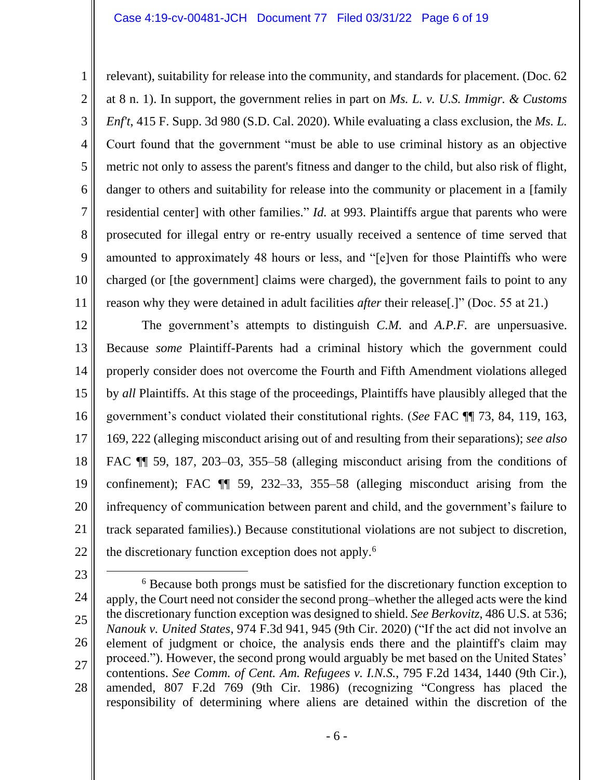#### Case 4:19-cv-00481-JCH Document 77 Filed 03/31/22 Page 6 of 19

relevant), suitability for release into the community, and standards for placement. (Doc. 62 at 8 n. 1). In support, the government relies in part on *Ms. L. v. U.S. Immigr. & Customs Enf't*, 415 F. Supp. 3d 980 (S.D. Cal. 2020). While evaluating a class exclusion, the *Ms. L.*  Court found that the government "must be able to use criminal history as an objective metric not only to assess the parent's fitness and danger to the child, but also risk of flight, danger to others and suitability for release into the community or placement in a [family residential center] with other families." *Id.* at 993. Plaintiffs argue that parents who were prosecuted for illegal entry or re-entry usually received a sentence of time served that amounted to approximately 48 hours or less, and "[e]ven for those Plaintiffs who were charged (or [the government] claims were charged), the government fails to point to any reason why they were detained in adult facilities *after* their release[.]" (Doc. 55 at 21.)

12 13 14 15 16 17 18 19 20 21 22 The government's attempts to distinguish *C.M.* and *A.P.F.* are unpersuasive. Because *some* Plaintiff-Parents had a criminal history which the government could properly consider does not overcome the Fourth and Fifth Amendment violations alleged by *all* Plaintiffs. At this stage of the proceedings, Plaintiffs have plausibly alleged that the government's conduct violated their constitutional rights. (*See* FAC ¶¶ 73, 84, 119, 163, 169, 222 (alleging misconduct arising out of and resulting from their separations); *see also* FAC ¶¶ 59, 187, 203–03, 355–58 (alleging misconduct arising from the conditions of confinement); FAC ¶¶ 59, 232–33, 355–58 (alleging misconduct arising from the infrequency of communication between parent and child, and the government's failure to track separated families).) Because constitutional violations are not subject to discretion, the discretionary function exception does not apply.<sup>6</sup>

23

1

2

3

4

5

6

7

8

9

10

11

<sup>25</sup> 26 27 28 <sup>6</sup> Because both prongs must be satisfied for the discretionary function exception to apply, the Court need not consider the second prong–whether the alleged acts were the kind the discretionary function exception was designed to shield. *See Berkovitz*, 486 U.S. at 536; *Nanouk v. United States*, 974 F.3d 941, 945 (9th Cir. 2020) ("If the act did not involve an element of judgment or choice, the analysis ends there and the plaintiff's claim may proceed."). However, the second prong would arguably be met based on the United States' contentions. *See Comm. of Cent. Am. Refugees v. I.N.S.*, 795 F.2d 1434, 1440 (9th Cir.), amended, 807 F.2d 769 (9th Cir. 1986) (recognizing "Congress has placed the responsibility of determining where aliens are detained within the discretion of the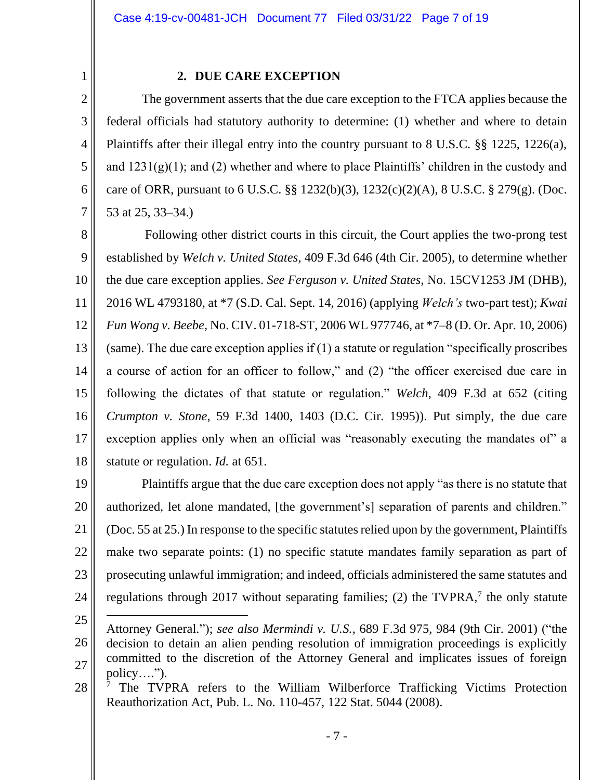2 3

4

5

6

7

1

## **2. DUE CARE EXCEPTION**

The government asserts that the due care exception to the FTCA applies because the federal officials had statutory authority to determine: (1) whether and where to detain Plaintiffs after their illegal entry into the country pursuant to 8 U.S.C. §§ 1225, 1226(a), and  $1231(g)(1)$ ; and (2) whether and where to place Plaintiffs' children in the custody and care of ORR, pursuant to 6 U.S.C. §§ 1232(b)(3), 1232(c)(2)(A), 8 U.S.C. § 279(g). (Doc. 53 at 25, 33–34.)

8 9 10 11 12 13 14 15 16 17 18 Following other district courts in this circuit, the Court applies the two-prong test established by *Welch v. United States*, 409 F.3d 646 (4th Cir. 2005), to determine whether the due care exception applies. *See Ferguson v. United States*, No. 15CV1253 JM (DHB), 2016 WL 4793180, at \*7 (S.D. Cal. Sept. 14, 2016) (applying *Welch's* two-part test); *Kwai Fun Wong v. Beebe*, No. CIV. 01-718-ST, 2006 WL 977746, at \*7–8 (D. Or. Apr. 10, 2006) (same). The due care exception applies if (1) a statute or regulation "specifically proscribes a course of action for an officer to follow," and (2) "the officer exercised due care in following the dictates of that statute or regulation." *Welch*, 409 F.3d at 652 (citing *Crumpton v. Stone*, 59 F.3d 1400, 1403 (D.C. Cir. 1995)). Put simply, the due care exception applies only when an official was "reasonably executing the mandates of" a statute or regulation. *Id.* at 651.

19 20 21 22 23 24 Plaintiffs argue that the due care exception does not apply "as there is no statute that authorized, let alone mandated, [the government's] separation of parents and children." (Doc. 55 at 25.) In response to the specific statutes relied upon by the government, Plaintiffs make two separate points: (1) no specific statute mandates family separation as part of prosecuting unlawful immigration; and indeed, officials administered the same statutes and regulations through 2017 without separating families; (2) the TVPRA, $<sup>7</sup>$  the only statute</sup>

<sup>25</sup> 26 27 Attorney General."); *see also Mermindi v. U.S.*, 689 F.3d 975, 984 (9th Cir. 2001) ("the decision to detain an alien pending resolution of immigration proceedings is explicitly committed to the discretion of the Attorney General and implicates issues of foreign policy….").

<sup>28</sup> <sup>7</sup> The TVPRA refers to the William Wilberforce Trafficking Victims Protection Reauthorization Act, Pub. L. No. 110-457, 122 Stat. 5044 (2008).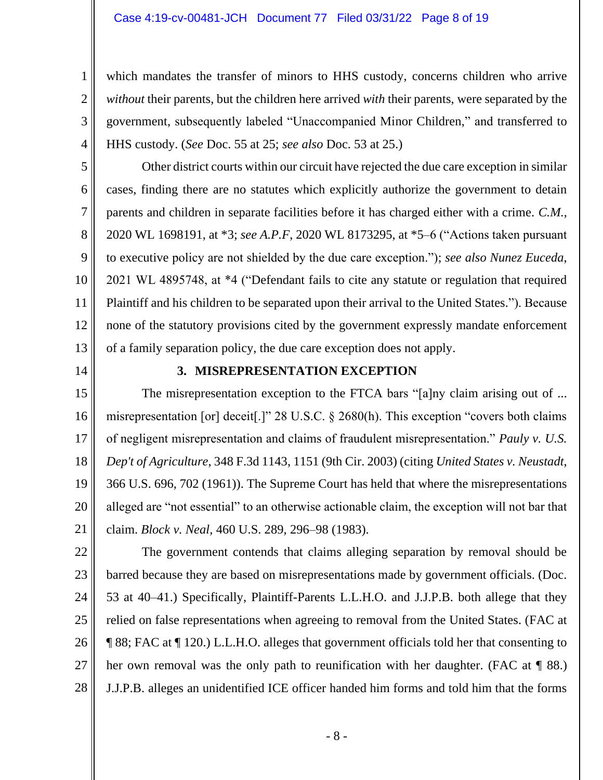#### Case 4:19-cv-00481-JCH Document 77 Filed 03/31/22 Page 8 of 19

which mandates the transfer of minors to HHS custody, concerns children who arrive *without* their parents, but the children here arrived *with* their parents, were separated by the government, subsequently labeled "Unaccompanied Minor Children," and transferred to HHS custody. (*See* Doc. 55 at 25; *see also* Doc. 53 at 25.)

Other district courts within our circuit have rejected the due care exception in similar cases, finding there are no statutes which explicitly authorize the government to detain parents and children in separate facilities before it has charged either with a crime. *C.M.*, 2020 WL 1698191, at \*3; *see A.P.F*, 2020 WL 8173295, at \*5–6 ("Actions taken pursuant to executive policy are not shielded by the due care exception."); *see also Nunez Euceda*, 2021 WL 4895748, at \*4 ("Defendant fails to cite any statute or regulation that required Plaintiff and his children to be separated upon their arrival to the United States."). Because none of the statutory provisions cited by the government expressly mandate enforcement of a family separation policy, the due care exception does not apply.

14

1

2

3

4

5

6

7

8

9

10

11

12

13

## **3. MISREPRESENTATION EXCEPTION**

15 16 17 18 19 20 21 The misrepresentation exception to the FTCA bars "[a]ny claim arising out of ... misrepresentation [or] deceit[.]" 28 U.S.C. § 2680(h). This exception "covers both claims of negligent misrepresentation and claims of fraudulent misrepresentation." *Pauly v. U.S. Dep't of Agriculture*, 348 F.3d 1143, 1151 (9th Cir. 2003) (citing *United States v. Neustadt*, 366 U.S. 696, 702 (1961)). The Supreme Court has held that where the misrepresentations alleged are "not essential" to an otherwise actionable claim, the exception will not bar that claim. *Block v. Neal*, 460 U.S. 289, 296–98 (1983).

22 23 24 25 26 27 28 The government contends that claims alleging separation by removal should be barred because they are based on misrepresentations made by government officials. (Doc. 53 at 40–41.) Specifically, Plaintiff-Parents L.L.H.O. and J.J.P.B. both allege that they relied on false representations when agreeing to removal from the United States. (FAC at ¶ 88; FAC at ¶ 120.) L.L.H.O. alleges that government officials told her that consenting to her own removal was the only path to reunification with her daughter. (FAC at  $\P$  88.) J.J.P.B. alleges an unidentified ICE officer handed him forms and told him that the forms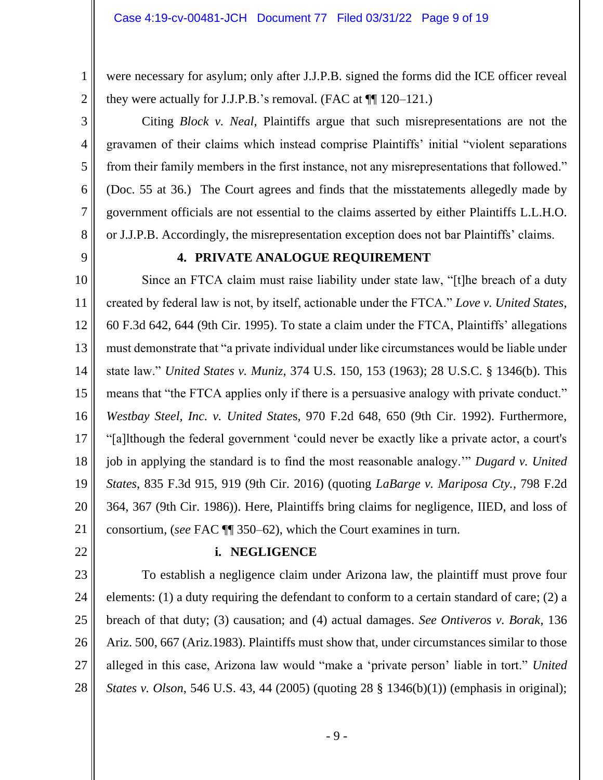were necessary for asylum; only after J.J.P.B. signed the forms did the ICE officer reveal they were actually for J.J.P.B.'s removal. (FAC at  $\P$  120–121.)

Citing *Block v. Neal*, Plaintiffs argue that such misrepresentations are not the gravamen of their claims which instead comprise Plaintiffs' initial "violent separations from their family members in the first instance, not any misrepresentations that followed." (Doc. 55 at 36.) The Court agrees and finds that the misstatements allegedly made by government officials are not essential to the claims asserted by either Plaintiffs L.L.H.O. or J.J.P.B. Accordingly, the misrepresentation exception does not bar Plaintiffs' claims.

8 9

1

2

3

4

5

6

7

## **4. PRIVATE ANALOGUE REQUIREMENT**

10 11 12 13 14 15 16 17 18 19 20 21 Since an FTCA claim must raise liability under state law, "[t]he breach of a duty created by federal law is not, by itself, actionable under the FTCA." *Love v. United States*, 60 F.3d 642, 644 (9th Cir. 1995). To state a claim under the FTCA, Plaintiffs' allegations must demonstrate that "a private individual under like circumstances would be liable under state law." *United States v. Muniz*, 374 U.S. 150, 153 (1963); 28 U.S.C. § 1346(b). This means that "the FTCA applies only if there is a persuasive analogy with private conduct." *Westbay Steel, Inc. v. United State*s, 970 F.2d 648, 650 (9th Cir. 1992). Furthermore, "[a]lthough the federal government 'could never be exactly like a private actor, a court's job in applying the standard is to find the most reasonable analogy.'" *Dugard v. United States*, 835 F.3d 915, 919 (9th Cir. 2016) (quoting *LaBarge v. Mariposa Cty.*, 798 F.2d 364, 367 (9th Cir. 1986)). Here, Plaintiffs bring claims for negligence, IIED, and loss of consortium, (*see* FAC ¶¶ 350–62), which the Court examines in turn.

22

## **i. NEGLIGENCE**

23 24 25 26 27 28 To establish a negligence claim under Arizona law, the plaintiff must prove four elements: (1) a duty requiring the defendant to conform to a certain standard of care; (2) a breach of that duty; (3) causation; and (4) actual damages. *See Ontiveros v. Borak*, 136 Ariz. 500, 667 (Ariz.1983). Plaintiffs must show that, under circumstances similar to those alleged in this case, Arizona law would "make a 'private person' liable in tort." *United States v. Olson*, 546 U.S. 43, 44 (2005) (quoting 28 § 1346(b)(1)) (emphasis in original);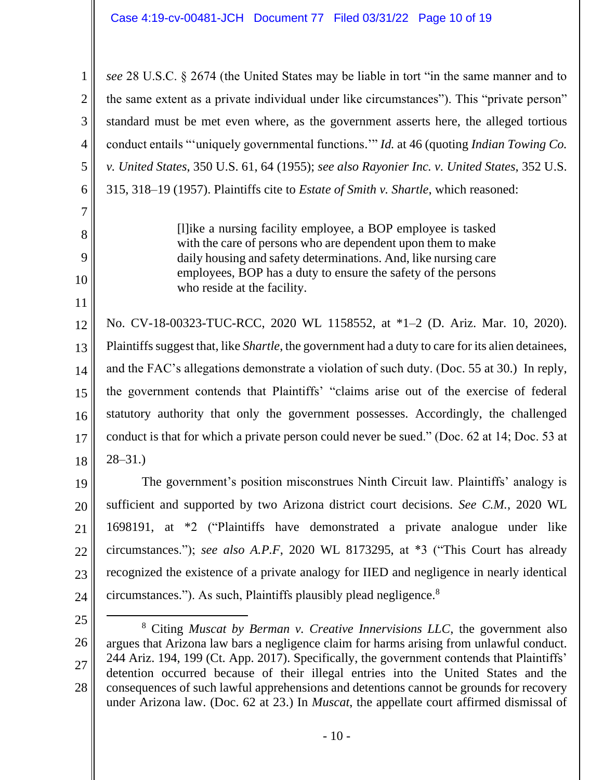1 2 3 4 5 6 *see* 28 U.S.C. § 2674 (the United States may be liable in tort "in the same manner and to the same extent as a private individual under like circumstances"). This "private person" standard must be met even where, as the government asserts here, the alleged tortious conduct entails "'uniquely governmental functions.'" *Id.* at 46 (quoting *Indian Towing Co. v. United States*, 350 U.S. 61, 64 (1955); *see also Rayonier Inc. v. United States*, 352 U.S. 315, 318–19 (1957). Plaintiffs cite to *Estate of Smith v. Shartle*, which reasoned:

> [l]ike a nursing facility employee, a BOP employee is tasked with the care of persons who are dependent upon them to make daily housing and safety determinations. And, like nursing care employees, BOP has a duty to ensure the safety of the persons who reside at the facility.

12 13 14 15 16 17 18 No. CV-18-00323-TUC-RCC, 2020 WL 1158552, at \*1–2 (D. Ariz. Mar. 10, 2020). Plaintiffs suggest that, like *Shartle*, the government had a duty to care for its alien detainees, and the FAC's allegations demonstrate a violation of such duty. (Doc. 55 at 30.) In reply, the government contends that Plaintiffs' "claims arise out of the exercise of federal statutory authority that only the government possesses. Accordingly, the challenged conduct is that for which a private person could never be sued." (Doc. 62 at 14; Doc. 53 at 28–31.)

19 20 21 22 23 24 The government's position misconstrues Ninth Circuit law. Plaintiffs' analogy is sufficient and supported by two Arizona district court decisions. *See C.M.*, 2020 WL 1698191, at \*2 ("Plaintiffs have demonstrated a private analogue under like circumstances."); *see also A.P.F*, 2020 WL 8173295, at \*3 ("This Court has already recognized the existence of a private analogy for IIED and negligence in nearly identical circumstances."). As such, Plaintiffs plausibly plead negligence.<sup>8</sup>

7

8

9

10

<sup>25</sup>

<sup>26</sup> 27 28 <sup>8</sup> Citing *Muscat by Berman v. Creative Innervisions LLC*, the government also argues that Arizona law bars a negligence claim for harms arising from unlawful conduct. 244 Ariz. 194, 199 (Ct. App. 2017). Specifically, the government contends that Plaintiffs' detention occurred because of their illegal entries into the United States and the consequences of such lawful apprehensions and detentions cannot be grounds for recovery under Arizona law. (Doc. 62 at 23.) In *Muscat*, the appellate court affirmed dismissal of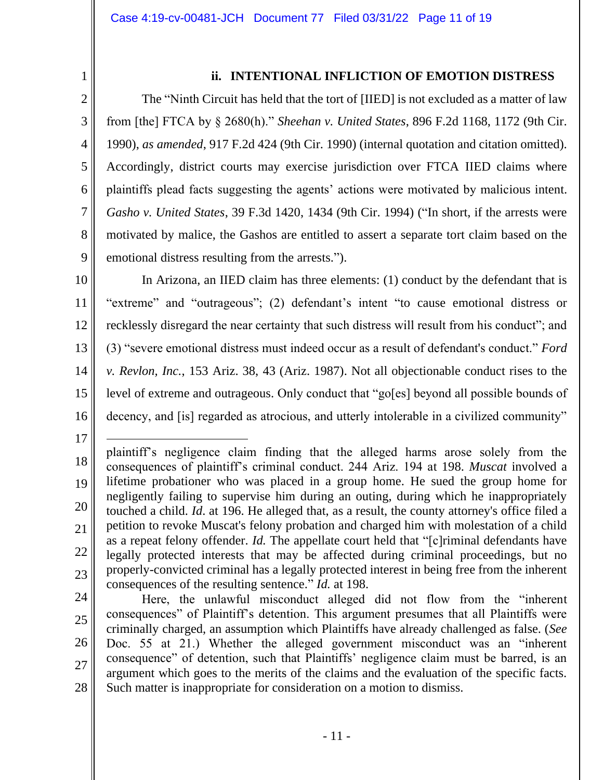1 2

3

4

5

6

7

8

9

## **ii. INTENTIONAL INFLICTION OF EMOTION DISTRESS**

The "Ninth Circuit has held that the tort of [IIED] is not excluded as a matter of law from [the] FTCA by § 2680(h)." *Sheehan v. United States*, 896 F.2d 1168, 1172 (9th Cir. 1990), *as amended*, 917 F.2d 424 (9th Cir. 1990) (internal quotation and citation omitted). Accordingly, district courts may exercise jurisdiction over FTCA IIED claims where plaintiffs plead facts suggesting the agents' actions were motivated by malicious intent. *Gasho v. United States*, 39 F.3d 1420, 1434 (9th Cir. 1994) ("In short, if the arrests were motivated by malice, the Gashos are entitled to assert a separate tort claim based on the emotional distress resulting from the arrests.").

10 11 12 13 14 15 16 In Arizona, an IIED claim has three elements: (1) conduct by the defendant that is "extreme" and "outrageous"; (2) defendant's intent "to cause emotional distress or recklessly disregard the near certainty that such distress will result from his conduct"; and (3) "severe emotional distress must indeed occur as a result of defendant's conduct." *Ford v. Revlon, Inc.*, 153 Ariz. 38, 43 (Ariz. 1987). Not all objectionable conduct rises to the level of extreme and outrageous. Only conduct that "go[es] beyond all possible bounds of decency, and [is] regarded as atrocious, and utterly intolerable in a civilized community"

<sup>18</sup> 19 20 21 22 23 plaintiff's negligence claim finding that the alleged harms arose solely from the consequences of plaintiff's criminal conduct. 244 Ariz. 194 at 198. *Muscat* involved a lifetime probationer who was placed in a group home. He sued the group home for negligently failing to supervise him during an outing, during which he inappropriately touched a child. *Id*. at 196. He alleged that, as a result, the county attorney's office filed a petition to revoke Muscat's felony probation and charged him with molestation of a child as a repeat felony offender. *Id.* The appellate court held that "[c]riminal defendants have legally protected interests that may be affected during criminal proceedings, but no properly-convicted criminal has a legally protected interest in being free from the inherent consequences of the resulting sentence." *Id.* at 198.

<sup>24</sup> 25 26 27 28 Here, the unlawful misconduct alleged did not flow from the "inherent consequences" of Plaintiff's detention. This argument presumes that all Plaintiffs were criminally charged, an assumption which Plaintiffs have already challenged as false. (*See* Doc. 55 at 21.) Whether the alleged government misconduct was an "inherent consequence" of detention, such that Plaintiffs' negligence claim must be barred, is an argument which goes to the merits of the claims and the evaluation of the specific facts. Such matter is inappropriate for consideration on a motion to dismiss.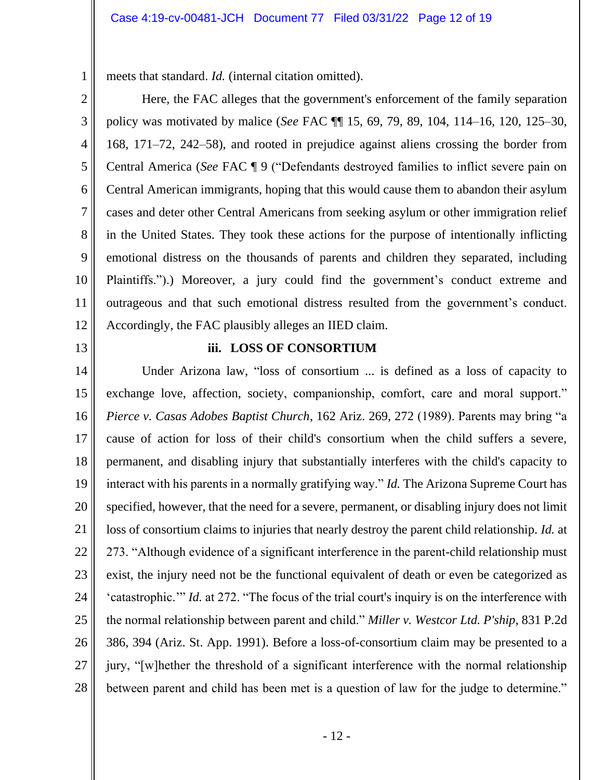meets that standard. *Id.* (internal citation omitted).

Here, the FAC alleges that the government's enforcement of the family separation policy was motivated by malice (*See* FAC ¶¶ 15, 69, 79, 89, 104, 114–16, 120, 125–30, 168, 171–72, 242–58), and rooted in prejudice against aliens crossing the border from Central America (*See* FAC ¶ 9 ("Defendants destroyed families to inflict severe pain on Central American immigrants, hoping that this would cause them to abandon their asylum cases and deter other Central Americans from seeking asylum or other immigration relief in the United States. They took these actions for the purpose of intentionally inflicting emotional distress on the thousands of parents and children they separated, including Plaintiffs.").) Moreover, a jury could find the government's conduct extreme and outrageous and that such emotional distress resulted from the government's conduct. Accordingly, the FAC plausibly alleges an IIED claim.

13

1

2

3

4

5

6

7

8

9

10

11

12

### **iii. LOSS OF CONSORTIUM**

14 15 16 17 18 19 20 21 22 23 24 25 26 27 28 Under Arizona law, "loss of consortium ... is defined as a loss of capacity to exchange love, affection, society, companionship, comfort, care and moral support." *Pierce v. Casas Adobes Baptist Church*, 162 Ariz. 269, 272 (1989). Parents may bring "a cause of action for loss of their child's consortium when the child suffers a severe, permanent, and disabling injury that substantially interferes with the child's capacity to interact with his parents in a normally gratifying way." *Id.* The Arizona Supreme Court has specified, however, that the need for a severe, permanent, or disabling injury does not limit loss of consortium claims to injuries that nearly destroy the parent child relationship. *Id.* at 273. "Although evidence of a significant interference in the parent-child relationship must exist, the injury need not be the functional equivalent of death or even be categorized as 'catastrophic.'" *Id.* at 272. "The focus of the trial court's inquiry is on the interference with the normal relationship between parent and child." *Miller v. Westcor Ltd. P'ship*, 831 P.2d 386, 394 (Ariz. St. App. 1991). Before a loss-of-consortium claim may be presented to a jury, "[w]hether the threshold of a significant interference with the normal relationship between parent and child has been met is a question of law for the judge to determine."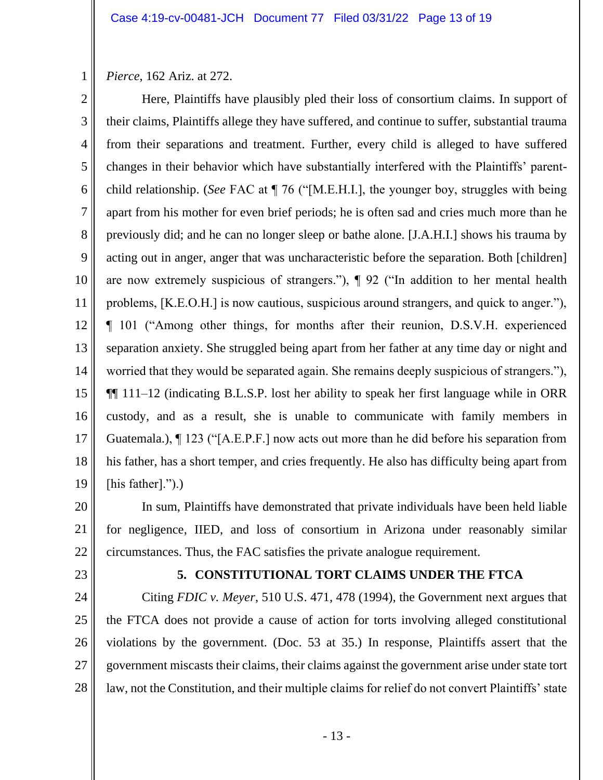*Pierce*, 162 Ariz. at 272.

1

2 3 4 5 6 7 8 9 10 11 12 13 14 15 16 17 18 19 Here, Plaintiffs have plausibly pled their loss of consortium claims. In support of their claims, Plaintiffs allege they have suffered, and continue to suffer, substantial trauma from their separations and treatment. Further, every child is alleged to have suffered changes in their behavior which have substantially interfered with the Plaintiffs' parentchild relationship. (*See* FAC at ¶ 76 ("[M.E.H.I.], the younger boy, struggles with being apart from his mother for even brief periods; he is often sad and cries much more than he previously did; and he can no longer sleep or bathe alone. [J.A.H.I.] shows his trauma by acting out in anger, anger that was uncharacteristic before the separation. Both [children] are now extremely suspicious of strangers."), ¶ 92 ("In addition to her mental health problems, [K.E.O.H.] is now cautious, suspicious around strangers, and quick to anger."), ¶ 101 ("Among other things, for months after their reunion, D.S.V.H. experienced separation anxiety. She struggled being apart from her father at any time day or night and worried that they would be separated again. She remains deeply suspicious of strangers."), ¶¶ 111–12 (indicating B.L.S.P. lost her ability to speak her first language while in ORR custody, and as a result, she is unable to communicate with family members in Guatemala.), ¶ 123 ("[A.E.P.F.] now acts out more than he did before his separation from his father, has a short temper, and cries frequently. He also has difficulty being apart from [his father].").)

20 21 22 In sum, Plaintiffs have demonstrated that private individuals have been held liable for negligence, IIED, and loss of consortium in Arizona under reasonably similar circumstances. Thus, the FAC satisfies the private analogue requirement.

23

## **5. CONSTITUTIONAL TORT CLAIMS UNDER THE FTCA**

24 25 26 27 28 Citing *FDIC v. Meyer*, 510 U.S. 471, 478 (1994), the Government next argues that the FTCA does not provide a cause of action for torts involving alleged constitutional violations by the government. (Doc. 53 at 35.) In response, Plaintiffs assert that the government miscasts their claims, their claims against the government arise under state tort law, not the Constitution, and their multiple claims for relief do not convert Plaintiffs' state

- 13 -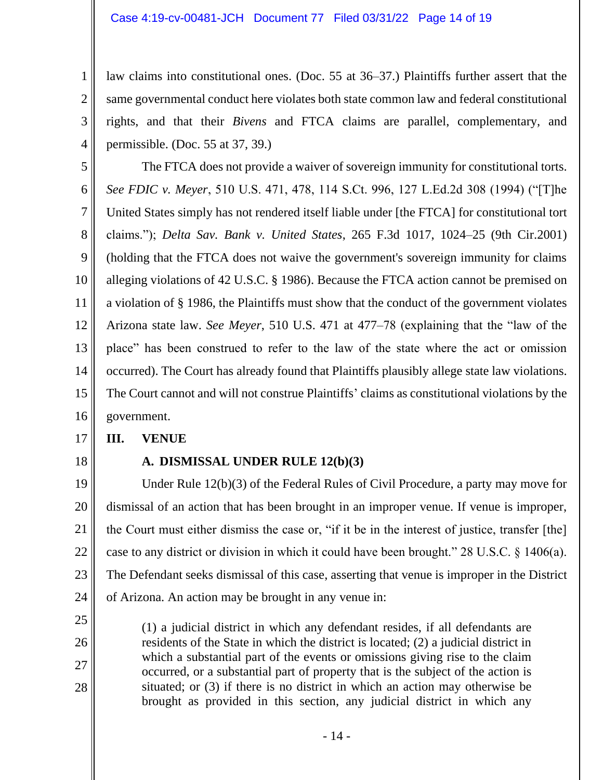law claims into constitutional ones. (Doc. 55 at 36–37.) Plaintiffs further assert that the same governmental conduct here violates both state common law and federal constitutional rights, and that their *Bivens* and FTCA claims are parallel, complementary, and permissible. (Doc. 55 at 37, 39.)

5 6 7 8 9 10 11 12 13 14 15 16 The FTCA does not provide a waiver of sovereign immunity for constitutional torts. *See FDIC v. Meyer*, 510 U.S. 471, 478, 114 S.Ct. 996, 127 L.Ed.2d 308 (1994) ("[T]he United States simply has not rendered itself liable under [the FTCA] for constitutional tort claims."); *Delta Sav. Bank v. United States*, 265 F.3d 1017, 1024–25 (9th Cir.2001) (holding that the FTCA does not waive the government's sovereign immunity for claims alleging violations of 42 U.S.C. § 1986). Because the FTCA action cannot be premised on a violation of § 1986, the Plaintiffs must show that the conduct of the government violates Arizona state law. *See Meyer*, 510 U.S. 471 at 477–78 (explaining that the "law of the place" has been construed to refer to the law of the state where the act or omission occurred). The Court has already found that Plaintiffs plausibly allege state law violations. The Court cannot and will not construe Plaintiffs' claims as constitutional violations by the government.

#### 17 **III. VENUE**

18

25

26

27

28

1

2

3

4

# **A. DISMISSAL UNDER RULE 12(b)(3)**

19 20 21 22 23 24 Under Rule 12(b)(3) of the Federal Rules of Civil Procedure, a party may move for dismissal of an action that has been brought in an improper venue. If venue is improper, the Court must either dismiss the case or, "if it be in the interest of justice, transfer [the] case to any district or division in which it could have been brought." 28 U.S.C. § 1406(a). The Defendant seeks dismissal of this case, asserting that venue is improper in the District of Arizona. An action may be brought in any venue in:

(1) a judicial district in which any defendant resides, if all defendants are residents of the State in which the district is located; (2) a judicial district in which a substantial part of the events or omissions giving rise to the claim occurred, or a substantial part of property that is the subject of the action is situated; or (3) if there is no district in which an action may otherwise be brought as provided in this section, any judicial district in which any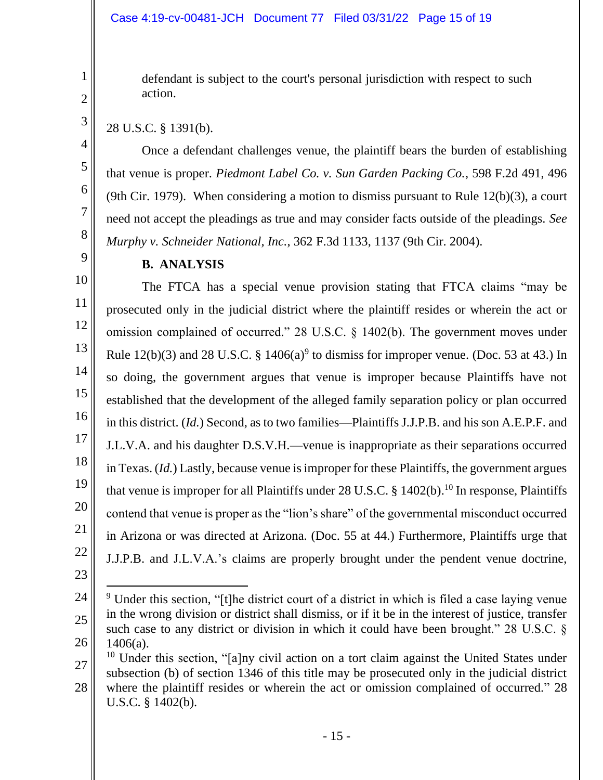defendant is subject to the court's personal jurisdiction with respect to such action.

# 28 U.S.C. § 1391(b).

Once a defendant challenges venue, the plaintiff bears the burden of establishing that venue is proper. *Piedmont Label Co. v. Sun Garden Packing Co.*, 598 F.2d 491, 496 (9th Cir. 1979). When considering a motion to dismiss pursuant to Rule  $12(b)(3)$ , a court need not accept the pleadings as true and may consider facts outside of the pleadings. *See Murphy v. Schneider National, Inc.*, 362 F.3d 1133, 1137 (9th Cir. 2004).

**B. ANALYSIS**

The FTCA has a special venue provision stating that FTCA claims "may be prosecuted only in the judicial district where the plaintiff resides or wherein the act or omission complained of occurred." 28 U.S.C. § 1402(b). The government moves under Rule  $12(b)(3)$  and  $28 \text{ U.S.C. }$  §  $1406(a)^9$  to dismiss for improper venue. (Doc. 53 at 43.) In so doing, the government argues that venue is improper because Plaintiffs have not established that the development of the alleged family separation policy or plan occurred in this district. (*Id.*) Second, as to two families—Plaintiffs J.J.P.B. and his son A.E.P.F. and J.L.V.A. and his daughter D.S.V.H.—venue is inappropriate as their separations occurred in Texas. (*Id.*) Lastly, because venue is improper for these Plaintiffs, the government argues that venue is improper for all Plaintiffs under 28 U.S.C. § 1402(b). <sup>10</sup> In response, Plaintiffs contend that venue is proper as the "lion's share" of the governmental misconduct occurred in Arizona or was directed at Arizona. (Doc. 55 at 44.) Furthermore, Plaintiffs urge that J.J.P.B. and J.L.V.A.'s claims are properly brought under the pendent venue doctrine,

- 23
- 24 25 26 <sup>9</sup> Under this section, "[t]he district court of a district in which is filed a case laying venue in the wrong division or district shall dismiss, or if it be in the interest of justice, transfer such case to any district or division in which it could have been brought." 28 U.S.C. §  $1406(a)$ .

- 15 -

<sup>27</sup> 28 <sup>10</sup> Under this section, "[a]ny civil action on a tort claim against the United States under subsection (b) of section 1346 of this title may be prosecuted only in the judicial district where the plaintiff resides or wherein the act or omission complained of occurred." 28 U.S.C. § 1402(b).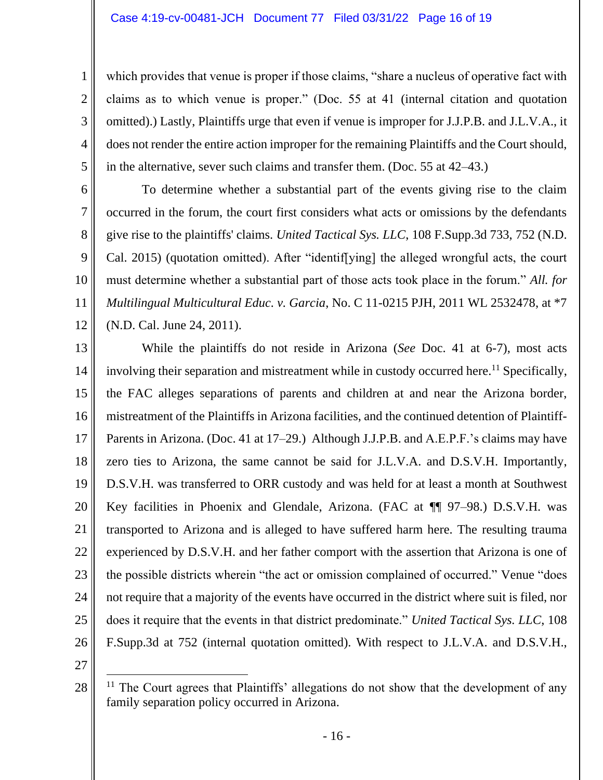which provides that venue is proper if those claims, "share a nucleus of operative fact with claims as to which venue is proper." (Doc. 55 at 41 (internal citation and quotation omitted).) Lastly, Plaintiffs urge that even if venue is improper for J.J.P.B. and J.L.V.A., it does not render the entire action improper for the remaining Plaintiffs and the Court should, in the alternative, sever such claims and transfer them. (Doc. 55 at 42–43.)

To determine whether a substantial part of the events giving rise to the claim occurred in the forum, the court first considers what acts or omissions by the defendants give rise to the plaintiffs' claims. *United Tactical Sys. LLC*, 108 F.Supp.3d 733, 752 (N.D. Cal. 2015) (quotation omitted). After "identif[ying] the alleged wrongful acts, the court must determine whether a substantial part of those acts took place in the forum." *All. for Multilingual Multicultural Educ. v. Garcia*, No. C 11-0215 PJH, 2011 WL 2532478, at \*7 (N.D. Cal. June 24, 2011).

13 14 15 16 17 18 19 20 21 22 23 24 25 26 While the plaintiffs do not reside in Arizona (*See* Doc. 41 at 6-7), most acts involving their separation and mistreatment while in custody occurred here.<sup>11</sup> Specifically, the FAC alleges separations of parents and children at and near the Arizona border, mistreatment of the Plaintiffs in Arizona facilities, and the continued detention of Plaintiff-Parents in Arizona. (Doc. 41 at 17–29.) Although J.J.P.B. and A.E.P.F.'s claims may have zero ties to Arizona, the same cannot be said for J.L.V.A. and D.S.V.H. Importantly, D.S.V.H. was transferred to ORR custody and was held for at least a month at Southwest Key facilities in Phoenix and Glendale, Arizona. (FAC at ¶ 97–98.) D.S.V.H. was transported to Arizona and is alleged to have suffered harm here. The resulting trauma experienced by D.S.V.H. and her father comport with the assertion that Arizona is one of the possible districts wherein "the act or omission complained of occurred." Venue "does not require that a majority of the events have occurred in the district where suit is filed, nor does it require that the events in that district predominate." *United Tactical Sys. LLC*, 108 F.Supp.3d at 752 (internal quotation omitted). With respect to J.L.V.A. and D.S.V.H.,

27

28

1

2

3

4

5

6

7

8

9

10

11

 $11$  The Court agrees that Plaintiffs' allegations do not show that the development of any family separation policy occurred in Arizona.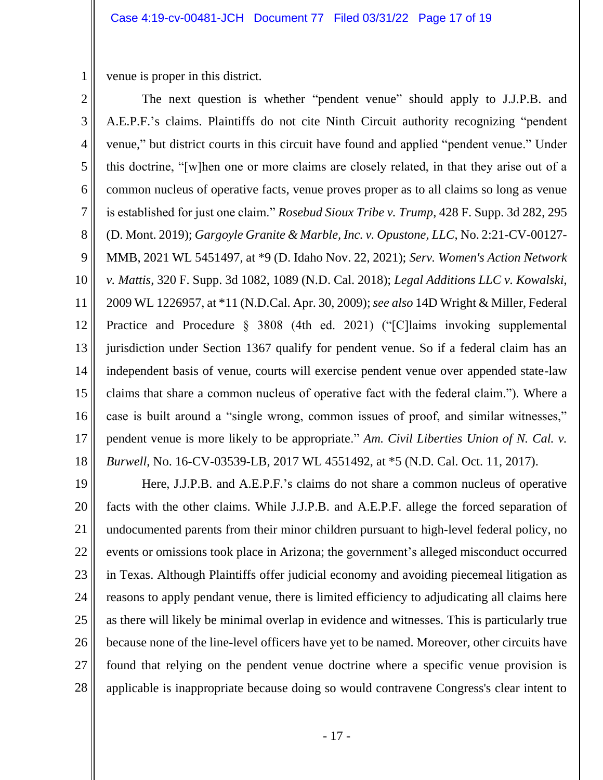venue is proper in this district.

1

2 3 4 5 6 7 8 9 10 11 12 13 14 15 16 17 18 The next question is whether "pendent venue" should apply to J.J.P.B. and A.E.P.F.'s claims. Plaintiffs do not cite Ninth Circuit authority recognizing "pendent venue," but district courts in this circuit have found and applied "pendent venue." Under this doctrine, "[w]hen one or more claims are closely related, in that they arise out of a common nucleus of operative facts, venue proves proper as to all claims so long as venue is established for just one claim." *Rosebud Sioux Tribe v. Trump*, 428 F. Supp. 3d 282, 295 (D. Mont. 2019); *Gargoyle Granite & Marble, Inc. v. Opustone, LLC*, No. 2:21-CV-00127- MMB, 2021 WL 5451497, at \*9 (D. Idaho Nov. 22, 2021); *Serv. Women's Action Network v. Mattis*, 320 F. Supp. 3d 1082, 1089 (N.D. Cal. 2018); *Legal Additions LLC v. Kowalski*, 2009 WL 1226957, at \*11 (N.D.Cal. Apr. 30, 2009); *see also* 14D Wright & Miller, Federal Practice and Procedure § 3808 (4th ed. 2021) ("[C]laims invoking supplemental jurisdiction under Section 1367 qualify for pendent venue. So if a federal claim has an independent basis of venue, courts will exercise pendent venue over appended state-law claims that share a common nucleus of operative fact with the federal claim."). Where a case is built around a "single wrong, common issues of proof, and similar witnesses," pendent venue is more likely to be appropriate." *Am. Civil Liberties Union of N. Cal. v. Burwell*, No. 16-CV-03539-LB, 2017 WL 4551492, at \*5 (N.D. Cal. Oct. 11, 2017).

19 20 21 22 23 24 25 26 27 28 Here, J.J.P.B. and A.E.P.F.'s claims do not share a common nucleus of operative facts with the other claims. While J.J.P.B. and A.E.P.F. allege the forced separation of undocumented parents from their minor children pursuant to high-level federal policy, no events or omissions took place in Arizona; the government's alleged misconduct occurred in Texas. Although Plaintiffs offer judicial economy and avoiding piecemeal litigation as reasons to apply pendant venue, there is limited efficiency to adjudicating all claims here as there will likely be minimal overlap in evidence and witnesses. This is particularly true because none of the line-level officers have yet to be named. Moreover, other circuits have found that relying on the pendent venue doctrine where a specific venue provision is applicable is inappropriate because doing so would contravene Congress's clear intent to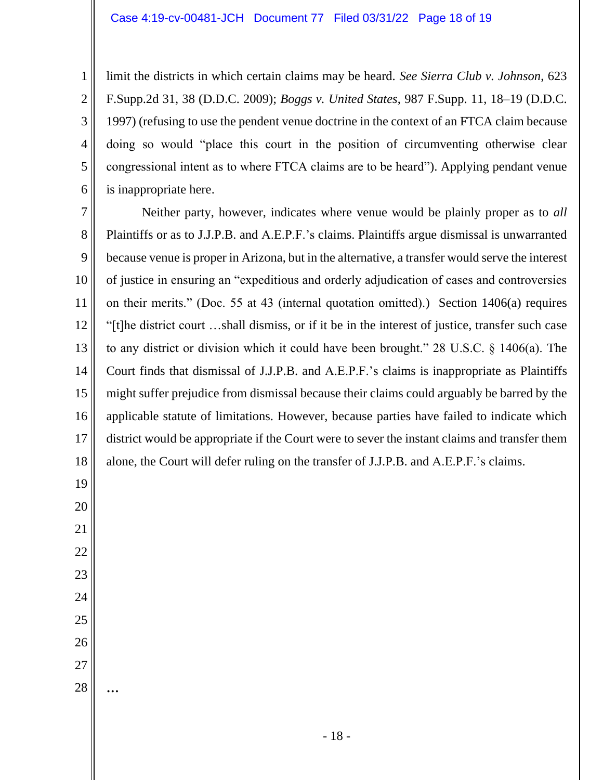6 limit the districts in which certain claims may be heard. *See Sierra Club v. Johnson*, 623 F.Supp.2d 31, 38 (D.D.C. 2009); *Boggs v. United States*, 987 F.Supp. 11, 18–19 (D.D.C. 1997) (refusing to use the pendent venue doctrine in the context of an FTCA claim because doing so would "place this court in the position of circumventing otherwise clear congressional intent as to where FTCA claims are to be heard"). Applying pendant venue is inappropriate here.

7 8 9 10 11 12 13 14 15 16 17 18 Neither party, however, indicates where venue would be plainly proper as to *all* Plaintiffs or as to J.J.P.B. and A.E.P.F.'s claims. Plaintiffs argue dismissal is unwarranted because venue is proper in Arizona, but in the alternative, a transfer would serve the interest of justice in ensuring an "expeditious and orderly adjudication of cases and controversies on their merits." (Doc. 55 at 43 (internal quotation omitted).) Section 1406(a) requires "[t]he district court …shall dismiss, or if it be in the interest of justice, transfer such case to any district or division which it could have been brought." 28 U.S.C. § 1406(a). The Court finds that dismissal of J.J.P.B. and A.E.P.F.'s claims is inappropriate as Plaintiffs might suffer prejudice from dismissal because their claims could arguably be barred by the applicable statute of limitations. However, because parties have failed to indicate which district would be appropriate if the Court were to sever the instant claims and transfer them alone, the Court will defer ruling on the transfer of J.J.P.B. and A.E.P.F.'s claims.

1

2

3

4

5

- 26
- 27 28

**…**